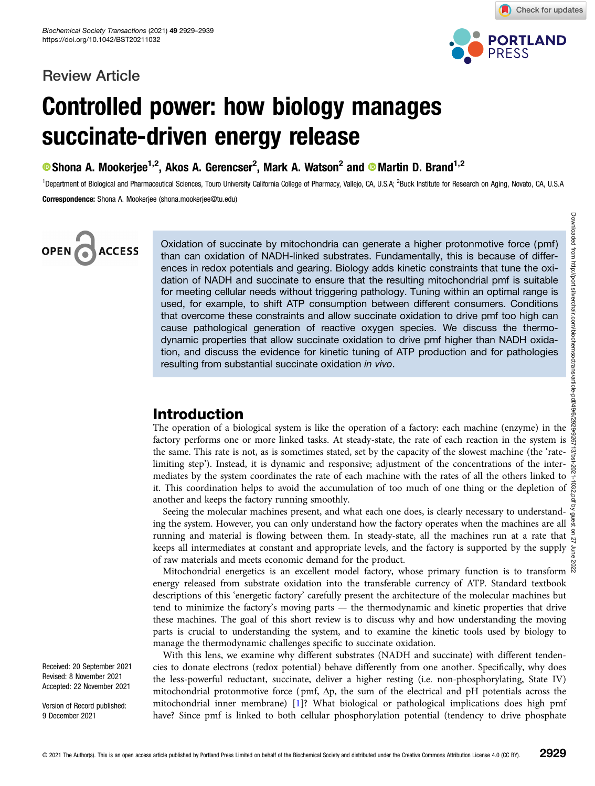### Review Article



Check for updates

# Controlled power: how biology manages succinate-driven energy release

Shona A. Mookerjee<sup>1,2</sup>, Akos A. Gerencser<sup>2</sup>, Mark A. Watson<sup>2</sup> and © Martin D. Brand<sup>1,2</sup>

<sup>1</sup>Department of Biological and Pharmaceutical Sciences, Touro University California College of Pharmacy, Vallejo, CA, U.S.A; <sup>2</sup>Buck Institute for Research on Aging, Novato, CA, U.S.A Correspondence: Shona A. Mookerjee (shona.mookerjee@tu.edu)

# OPEN **ACCESS**

Oxidation of succinate by mitochondria can generate a higher protonmotive force (pmf) than can oxidation of NADH-linked substrates. Fundamentally, this is because of differences in redox potentials and gearing. Biology adds kinetic constraints that tune the oxidation of NADH and succinate to ensure that the resulting mitochondrial pmf is suitable for meeting cellular needs without triggering pathology. Tuning within an optimal range is used, for example, to shift ATP consumption between different consumers. Conditions that overcome these constraints and allow succinate oxidation to drive pmf too high can cause pathological generation of reactive oxygen species. We discuss the thermodynamic properties that allow succinate oxidation to drive pmf higher than NADH oxidation, and discuss the evidence for kinetic tuning of ATP production and for pathologies resulting from substantial succinate oxidation in vivo.

### Introduction

The operation of a biological system is like the operation of a factory: each machine (enzyme) in the factory performs one or more linked tasks. At steady-state, the rate of each reaction in the system is the same. This rate is not, as is sometimes stated, set by the capacity of the slowest machine (the 'ratelimiting step'). Instead, it is dynamic and responsive; adjustment of the concentrations of the intermediates by the system coordinates the rate of each machine with the rates of all the others linked to it. This coordination helps to avoid the accumulation of too much of one thing or the depletion of  $\frac{8}{60}$ another and keeps the factory running smoothly.

Seeing the molecular machines present, and what each one does, is clearly necessary to understanding the system. However, you can only understand how the factory operates when the machines are all running and material is flowing between them. In steady-state, all the machines run at a rate that  $\frac{9}{2}$ keeps all intermediates at constant and appropriate levels, and the factory is supported by the supply  $\frac{1}{5}$ of raw materials and meets economic demand for the product.

Mitochondrial energetics is an excellent model factory, whose primary function is to transform  $\breve{\aleph}$ energy released from substrate oxidation into the transferable currency of ATP. Standard textbook descriptions of this 'energetic factory' carefully present the architecture of the molecular machines but tend to minimize the factory's moving parts — the thermodynamic and kinetic properties that drive these machines. The goal of this short review is to discuss why and how understanding the moving parts is crucial to understanding the system, and to examine the kinetic tools used by biology to manage the thermodynamic challenges specific to succinate oxidation.

With this lens, we examine why different substrates (NADH and succinate) with different tendencies to donate electrons (redox potential) behave differently from one another. Specifically, why does the less-powerful reductant, succinate, deliver a higher resting (i.e. non-phosphorylating, State IV) mitochondrial protonmotive force ( $\text{pmf}$ ,  $\Delta p$ , the sum of the electrical and  $pH$  potentials across the mitochondrial inner membrane) [\[1\]](#page-7-0)? What biological or pathological implications does high pmf have? Since pmf is linked to both cellular phosphorylation potential (tendency to drive phosphate

Received: 20 September 2021 Revised: 8 November 2021 Accepted: 22 November 2021

Version of Record published: 9 December 2021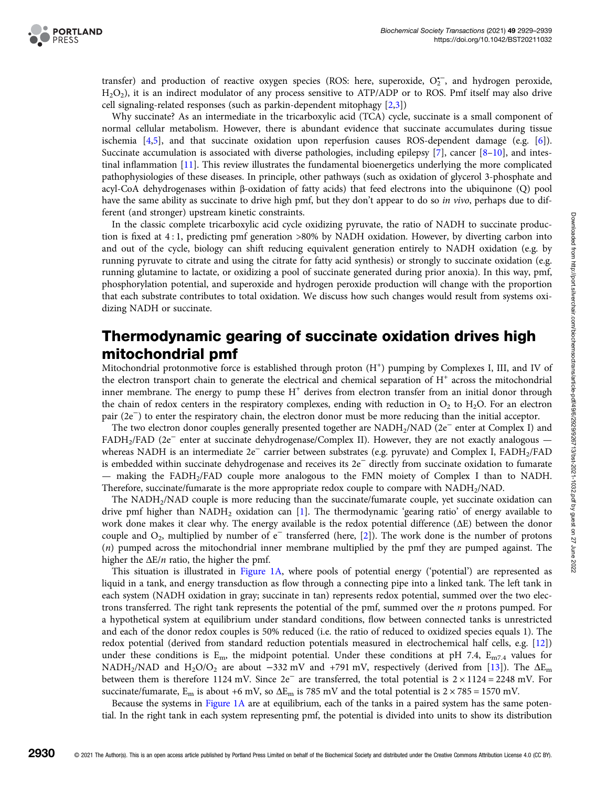transfer) and production of reactive oxygen species (ROS: here, superoxide, O2, and hydrogen peroxide, H2O2), it is an indirect modulator of any process sensitive to ATP/ADP or to ROS. Pmf itself may also drive cell signaling-related responses (such as parkin-dependent mitophagy [[2](#page-7-0),[3](#page-7-0)])

Why succinate? As an intermediate in the tricarboxylic acid (TCA) cycle, succinate is a small component of normal cellular metabolism. However, there is abundant evidence that succinate accumulates during tissue ischemia [\[4,5](#page-7-0)], and that succinate oxidation upon reperfusion causes ROS-dependent damage (e.g. [[6\]](#page-7-0)). Succinate accumulation is associated with diverse pathologies, including epilepsy [[7](#page-7-0)], cancer [\[8](#page-7-0)–[10\]](#page-7-0), and intestinal inflammation [\[11\]](#page-7-0). This review illustrates the fundamental bioenergetics underlying the more complicated pathophysiologies of these diseases. In principle, other pathways (such as oxidation of glycerol 3-phosphate and acyl-CoA dehydrogenases within β-oxidation of fatty acids) that feed electrons into the ubiquinone (Q) pool have the same ability as succinate to drive high pmf, but they don't appear to do so in vivo, perhaps due to different (and stronger) upstream kinetic constraints.

In the classic complete tricarboxylic acid cycle oxidizing pyruvate, the ratio of NADH to succinate production is fixed at 4 : 1, predicting pmf generation >80% by NADH oxidation. However, by diverting carbon into and out of the cycle, biology can shift reducing equivalent generation entirely to NADH oxidation (e.g. by running pyruvate to citrate and using the citrate for fatty acid synthesis) or strongly to succinate oxidation (e.g. running glutamine to lactate, or oxidizing a pool of succinate generated during prior anoxia). In this way, pmf, phosphorylation potential, and superoxide and hydrogen peroxide production will change with the proportion that each substrate contributes to total oxidation. We discuss how such changes would result from systems oxidizing NADH or succinate.

# Thermodynamic gearing of succinate oxidation drives high mitochondrial pmf

Mitochondrial protonmotive force is established through proton (H<sup>+</sup>) pumping by Complexes I, III, and IV of the electron transport chain to generate the electrical and chemical separation of  $H<sup>+</sup>$  across the mitochondrial inner membrane. The energy to pump these  $H<sup>+</sup>$  derives from electron transfer from an initial donor through the chain of redox centers in the respiratory complexes, ending with reduction in  $O_2$  to  $H_2O$ . For an electron pair (2e−) to enter the respiratory chain, the electron donor must be more reducing than the initial acceptor.

The two electron donor couples generally presented together are NADH<sub>2</sub>/NAD (2e<sup>−</sup> enter at Complex I) and FADH2/FAD (2e<sup>−</sup> enter at succinate dehydrogenase/Complex II). However, they are not exactly analogous whereas NADH is an intermediate 2e<sup>−</sup> carrier between substrates (e.g. pyruvate) and Complex I, FADH<sub>2</sub>/FAD is embedded within succinate dehydrogenase and receives its 2e<sup>−</sup> directly from succinate oxidation to fumarate — making the FADH2/FAD couple more analogous to the FMN moiety of Complex I than to NADH. Therefore, succinate/fumarate is the more appropriate redox couple to compare with NADH<sub>2</sub>/NAD.

The NADH2/NAD couple is more reducing than the succinate/fumarate couple, yet succinate oxidation can drive pmf higher than NADH<sub>2</sub> oxidation can [[1\]](#page-7-0). The thermodynamic 'gearing ratio' of energy available to work done makes it clear why. The energy available is the redox potential difference (ΔE) between the donor couple and  $O_2$ , multiplied by number of e<sup>−</sup> transferred (here, [[2\]](#page-7-0)). The work done is the number of protons (n) pumped across the mitochondrial inner membrane multiplied by the pmf they are pumped against. The higher the  $\Delta E/n$  ratio, the higher the pmf.

This situation is illustrated in [Figure 1A](#page-2-0), where pools of potential energy ('potential') are represented as liquid in a tank, and energy transduction as flow through a connecting pipe into a linked tank. The left tank in each system (NADH oxidation in gray; succinate in tan) represents redox potential, summed over the two electrons transferred. The right tank represents the potential of the pmf, summed over the n protons pumped. For a hypothetical system at equilibrium under standard conditions, flow between connected tanks is unrestricted and each of the donor redox couples is 50% reduced (i.e. the ratio of reduced to oxidized species equals 1). The redox potential (derived from standard reduction potentials measured in electrochemical half cells, e.g. [\[12\]](#page-7-0)) under these conditions is  $E_m$ , the midpoint potential. Under these conditions at pH 7.4,  $E_{m7.4}$  values for NADH<sub>2</sub>/NAD and H<sub>2</sub>O/O<sub>2</sub> are about −332 mV and +791 mV, respectively (derived from [[13\]](#page-7-0)). The  $\Delta E_{\text{m}}$ between them is therefore 1124 mV. Since 2e<sup>−</sup> are transferred, the total potential is 2 × 1124 = 2248 mV. For succinate/fumarate,  $E_m$  is about +6 mV, so  $\Delta E_m$  is 785 mV and the total potential is  $2 \times 785 = 1570$  mV.

Because the systems in [Figure 1A](#page-2-0) are at equilibrium, each of the tanks in a paired system has the same potential. In the right tank in each system representing pmf, the potential is divided into units to show its distribution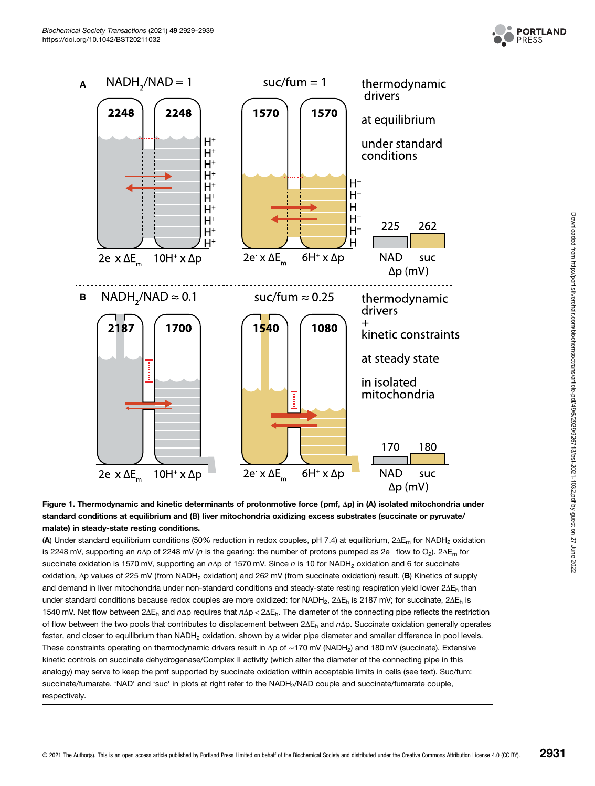

<span id="page-2-0"></span>

Figure 1. Thermodynamic and kinetic determinants of protonmotive force (pmf, Δp) in (A) isolated mitochondria under standard conditions at equilibrium and (B) liver mitochondria oxidizing excess substrates (succinate or pyruvate/ malate) in steady-state resting conditions.

(A) Under standard equilibrium conditions (50% reduction in redox couples, pH 7.4) at equilibrium, 2ΔE<sub>m</sub> for NADH<sub>2</sub> oxidation is 2248 mV, supporting an nΔp of 2248 mV (n is the gearing: the number of protons pumped as 2e<sup>-</sup> flow to O<sub>2</sub>). 2ΔE<sub>m</sub> for succinate oxidation is 1570 mV, supporting an nΔp of 1570 mV. Since n is 10 for NADH<sub>2</sub> oxidation and 6 for succinate oxidation, Δp values of 225 mV (from NADH<sub>2</sub> oxidation) and 262 mV (from succinate oxidation) result. (B) Kinetics of supply and demand in liver mitochondria under non-standard conditions and steady-state resting respiration yield lower 2ΔE<sub>h</sub> than under standard conditions because redox couples are more oxidized: for NADH<sub>2</sub>, 2 $\Delta E_h$  is 2187 mV; for succinate, 2 $\Delta E_h$  is 1540 mV. Net flow between 2ΔE<sub>h</sub> and nΔp requires that nΔp < 2ΔE<sub>h</sub>. The diameter of the connecting pipe reflects the restriction of flow between the two pools that contributes to displacement between 2ΔEh and nΔp. Succinate oxidation generally operates faster, and closer to equilibrium than NADH<sub>2</sub> oxidation, shown by a wider pipe diameter and smaller difference in pool levels. These constraints operating on thermodynamic drivers result in Δp of ~170 mV (NADH<sub>2</sub>) and 180 mV (succinate). Extensive kinetic controls on succinate dehydrogenase/Complex II activity (which alter the diameter of the connecting pipe in this analogy) may serve to keep the pmf supported by succinate oxidation within acceptable limits in cells (see text). Suc/fum: succinate/fumarate. 'NAD' and 'suc' in plots at right refer to the NADH<sub>2</sub>/NAD couple and succinate/fumarate couple, respectively.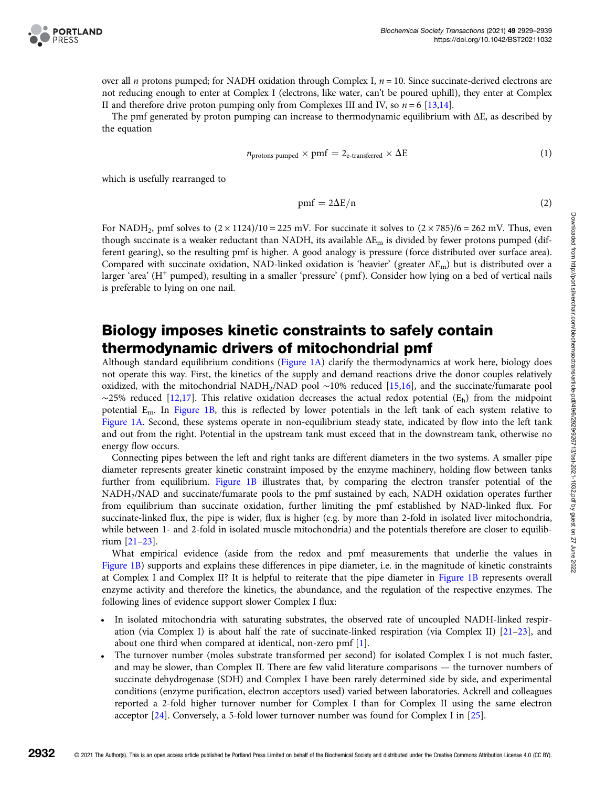

over all *n* protons pumped; for NADH oxidation through Complex I,  $n = 10$ . Since succinate-derived electrons are not reducing enough to enter at Complex I (electrons, like water, can't be poured uphill), they enter at Complex II and therefore drive proton pumping only from Complexes III and IV, so  $n = 6$  [\[13,14](#page-7-0)].

The pmf generated by proton pumping can increase to thermodynamic equilibrium with ΔE, as described by the equation

$$
n_{\text{protons pumped}} \times \text{pmf} = 2_{\text{e-transferred}} \times \Delta E \tag{1}
$$

which is usefully rearranged to

$$
pmf = 2\Delta E/n \tag{2}
$$

For NADH<sub>2</sub>, pmf solves to  $(2 \times 1124)/10 = 225$  mV. For succinate it solves to  $(2 \times 785)/6 = 262$  mV. Thus, even though succinate is a weaker reductant than NADH, its available  $\Delta E_m$  is divided by fewer protons pumped (different gearing), so the resulting pmf is higher. A good analogy is pressure (force distributed over surface area). Compared with succinate oxidation, NAD-linked oxidation is 'heavier' (greater  $\Delta E_m$ ) but is distributed over a larger 'area' (H<sup>+</sup> pumped), resulting in a smaller 'pressure' (pmf). Consider how lying on a bed of vertical nails is preferable to lying on one nail.

### Biology imposes kinetic constraints to safely contain thermodynamic drivers of mitochondrial pmf

Although standard equilibrium conditions [\(Figure 1A\)](#page-2-0) clarify the thermodynamics at work here, biology does not operate this way. First, the kinetics of the supply and demand reactions drive the donor couples relatively oxidized, with the mitochondrial NADH2/NAD pool ∼10% reduced [[15,16](#page-7-0)], and the succinate/fumarate pool  $~\sim$ 25% reduced [\[12,17\]](#page-7-0). This relative oxidation decreases the actual redox potential (E<sub>h</sub>) from the midpoint potential Em. In [Figure 1B,](#page-2-0) this is reflected by lower potentials in the left tank of each system relative to [Figure 1A.](#page-2-0) Second, these systems operate in non-equilibrium steady state, indicated by flow into the left tank and out from the right. Potential in the upstream tank must exceed that in the downstream tank, otherwise no energy flow occurs.

Connecting pipes between the left and right tanks are different diameters in the two systems. A smaller pipe diameter represents greater kinetic constraint imposed by the enzyme machinery, holding flow between tanks further from equilibrium. [Figure 1B](#page-2-0) illustrates that, by comparing the electron transfer potential of the NADH2/NAD and succinate/fumarate pools to the pmf sustained by each, NADH oxidation operates further from equilibrium than succinate oxidation, further limiting the pmf established by NAD-linked flux. For succinate-linked flux, the pipe is wider, flux is higher (e.g. by more than 2-fold in isolated liver mitochondria, while between 1- and 2-fold in isolated muscle mitochondria) and the potentials therefore are closer to equilibrium [\[21](#page-7-0)–[23](#page-8-0)].

What empirical evidence (aside from the redox and pmf measurements that underlie the values in [Figure 1B](#page-2-0)) supports and explains these differences in pipe diameter, i.e. in the magnitude of kinetic constraints at Complex I and Complex II? It is helpful to reiterate that the pipe diameter in [Figure 1B](#page-2-0) represents overall enzyme activity and therefore the kinetics, the abundance, and the regulation of the respective enzymes. The following lines of evidence support slower Complex I flux:

- In isolated mitochondria with saturating substrates, the observed rate of uncoupled NADH-linked respiration (via Complex I) is about half the rate of succinate-linked respiration (via Complex II) [[21](#page-7-0)–[23](#page-8-0)], and about one third when compared at identical, non-zero pmf [[1](#page-7-0)].
- The turnover number (moles substrate transformed per second) for isolated Complex I is not much faster, and may be slower, than Complex II. There are few valid literature comparisons — the turnover numbers of succinate dehydrogenase (SDH) and Complex I have been rarely determined side by side, and experimental conditions (enzyme purification, electron acceptors used) varied between laboratories. Ackrell and colleagues reported a 2-fold higher turnover number for Complex I than for Complex II using the same electron acceptor [[24](#page-8-0)]. Conversely, a 5-fold lower turnover number was found for Complex I in [\[25\]](#page-8-0).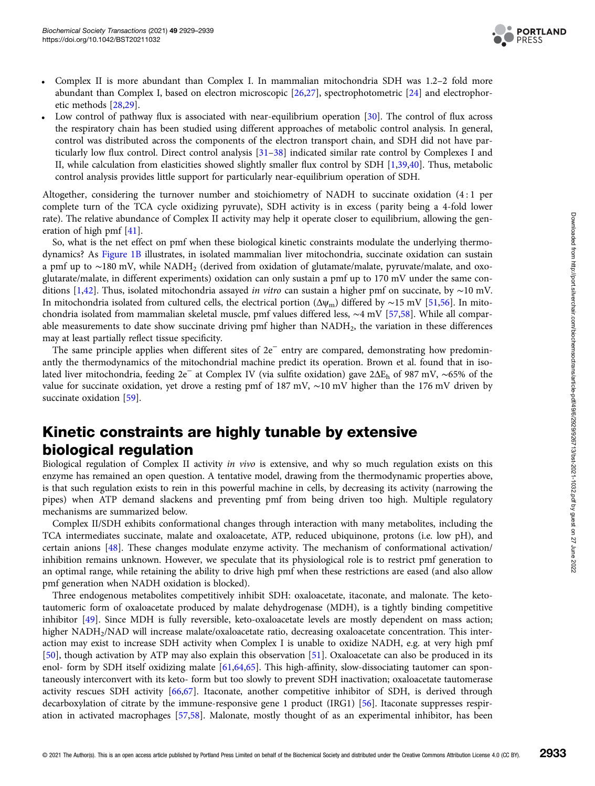

- Complex II is more abundant than Complex I. In mammalian mitochondria SDH was 1.2–2 fold more abundant than Complex I, based on electron microscopic [[26,27](#page-8-0)], spectrophotometric [[24](#page-8-0)] and electrophoretic methods [\[28,29](#page-8-0)].
- Low control of pathway flux is associated with near-equilibrium operation [[30](#page-8-0)]. The control of flux across the respiratory chain has been studied using different approaches of metabolic control analysis. In general, control was distributed across the components of the electron transport chain, and SDH did not have particularly low flux control. Direct control analysis [\[31](#page-8-0)–[38\]](#page-8-0) indicated similar rate control by Complexes I and II, while calculation from elasticities showed slightly smaller flux control by SDH [\[1](#page-7-0)[,39,40\]](#page-8-0). Thus, metabolic control analysis provides little support for particularly near-equilibrium operation of SDH.

Altogether, considering the turnover number and stoichiometry of NADH to succinate oxidation (4 : 1 per complete turn of the TCA cycle oxidizing pyruvate), SDH activity is in excess ( parity being a 4-fold lower rate). The relative abundance of Complex II activity may help it operate closer to equilibrium, allowing the generation of high pmf [[41](#page-8-0)].

So, what is the net effect on pmf when these biological kinetic constraints modulate the underlying thermodynamics? As [Figure 1B](#page-2-0) illustrates, in isolated mammalian liver mitochondria, succinate oxidation can sustain a pmf up to ∼180 mV, while NADH2 (derived from oxidation of glutamate/malate, pyruvate/malate, and oxoglutarate/malate, in different experiments) oxidation can only sustain a pmf up to 170 mV under the same conditions [[1,](#page-7-0)[42](#page-8-0)]. Thus, isolated mitochondria assayed in vitro can sustain a higher pmf on succinate, by ∼10 mV. In mitochondria isolated from cultured cells, the electrical portion ( $\Delta \psi_m$ ) differed by ∼15 mV [[51,](#page-8-0)[56](#page-9-0)]. In mitochondria isolated from mammalian skeletal muscle, pmf values differed less, ∼4 mV [\[57,58\]](#page-9-0). While all comparable measurements to date show succinate driving pmf higher than NADH<sub>2</sub>, the variation in these differences may at least partially reflect tissue specificity.

The same principle applies when different sites of 2e<sup>−</sup> entry are compared, demonstrating how predominantly the thermodynamics of the mitochondrial machine predict its operation. Brown et al. found that in isolated liver mitochondria, feeding 2e<sup>−</sup> at Complex IV (via sulfite oxidation) gave 2ΔEh of 987 mV, ∼65% of the value for succinate oxidation, yet drove a resting pmf of 187 mV, ∼10 mV higher than the 176 mV driven by succinate oxidation [\[59\]](#page-9-0).

## Kinetic constraints are highly tunable by extensive biological regulation

Biological regulation of Complex II activity in vivo is extensive, and why so much regulation exists on this enzyme has remained an open question. A tentative model, drawing from the thermodynamic properties above, is that such regulation exists to rein in this powerful machine in cells, by decreasing its activity (narrowing the pipes) when ATP demand slackens and preventing pmf from being driven too high. Multiple regulatory mechanisms are summarized below.

Complex II/SDH exhibits conformational changes through interaction with many metabolites, including the TCA intermediates succinate, malate and oxaloacetate, ATP, reduced ubiquinone, protons (i.e. low pH), and certain anions [\[48\]](#page-8-0). These changes modulate enzyme activity. The mechanism of conformational activation/ inhibition remains unknown. However, we speculate that its physiological role is to restrict pmf generation to an optimal range, while retaining the ability to drive high pmf when these restrictions are eased (and also allow pmf generation when NADH oxidation is blocked).

Three endogenous metabolites competitively inhibit SDH: oxaloacetate, itaconate, and malonate. The ketotautomeric form of oxaloacetate produced by malate dehydrogenase (MDH), is a tightly binding competitive inhibitor [\[49](#page-8-0)]. Since MDH is fully reversible, keto-oxaloacetate levels are mostly dependent on mass action; higher NADH2/NAD will increase malate/oxaloacetate ratio, decreasing oxaloacetate concentration. This interaction may exist to increase SDH activity when Complex I is unable to oxidize NADH, e.g. at very high pmf [[50\]](#page-8-0), though activation by ATP may also explain this observation [\[51\]](#page-8-0). Oxaloacetate can also be produced in its enol- form by SDH itself oxidizing malate [[61,64,65\]](#page-9-0). This high-affinity, slow-dissociating tautomer can spontaneously interconvert with its keto- form but too slowly to prevent SDH inactivation; oxaloacetate tautomerase activity rescues SDH activity [[66,67](#page-9-0)]. Itaconate, another competitive inhibitor of SDH, is derived through decarboxylation of citrate by the immune-responsive gene 1 product (IRG1) [\[56\]](#page-9-0). Itaconate suppresses respiration in activated macrophages [[57,58\]](#page-9-0). Malonate, mostly thought of as an experimental inhibitor, has been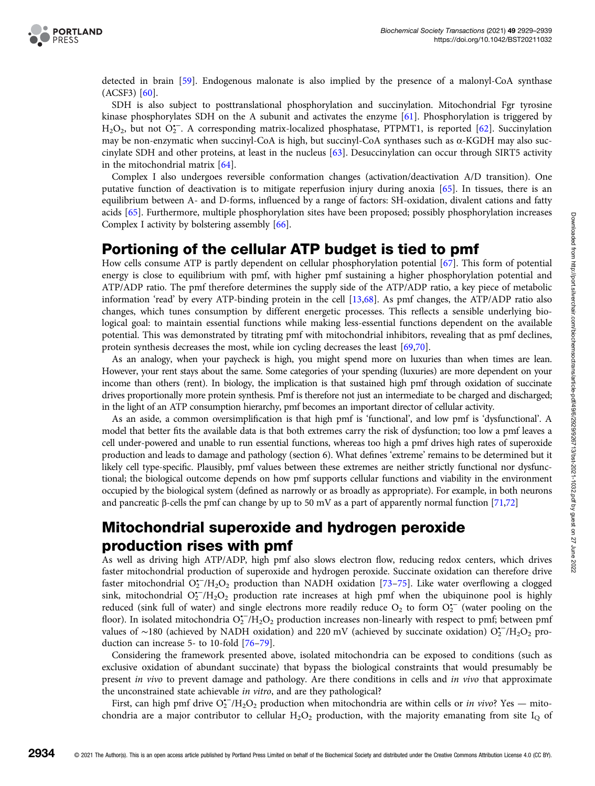

detected in brain [\[59](#page-9-0)]. Endogenous malonate is also implied by the presence of a malonyl-CoA synthase (ACSF3) [\[60\]](#page-9-0).

SDH is also subject to posttranslational phosphorylation and succinylation. Mitochondrial Fgr tyrosine kinase phosphorylates SDH on the A subunit and activates the enzyme [[61](#page-9-0)]. Phosphorylation is triggered by H<sub>2</sub>O<sub>2</sub>, but not O<sub>2</sub><sup>-</sup>. A corresponding matrix-localized phosphatase, PTPMT1, is reported [[62](#page-9-0)]. Succinylation may be non-enzymatic when succinyl-CoA is high, but succinyl-CoA synthases such as α-KGDH may also succinylate SDH and other proteins, at least in the nucleus [\[63\]](#page-9-0). Desuccinylation can occur through SIRT5 activity in the mitochondrial matrix [\[64\]](#page-9-0).

Complex I also undergoes reversible conformation changes (activation/deactivation A/D transition). One putative function of deactivation is to mitigate reperfusion injury during anoxia [\[65\]](#page-9-0). In tissues, there is an equilibrium between A- and D-forms, influenced by a range of factors: SH-oxidation, divalent cations and fatty acids [\[65\]](#page-9-0). Furthermore, multiple phosphorylation sites have been proposed; possibly phosphorylation increases Complex I activity by bolstering assembly [[66](#page-9-0)].

### Portioning of the cellular ATP budget is tied to pmf

How cells consume ATP is partly dependent on cellular phosphorylation potential [[67](#page-9-0)]. This form of potential energy is close to equilibrium with pmf, with higher pmf sustaining a higher phosphorylation potential and ATP/ADP ratio. The pmf therefore determines the supply side of the ATP/ADP ratio, a key piece of metabolic information 'read' by every ATP-binding protein in the cell [[13](#page-7-0)[,68](#page-9-0)]. As pmf changes, the ATP/ADP ratio also changes, which tunes consumption by different energetic processes. This reflects a sensible underlying biological goal: to maintain essential functions while making less-essential functions dependent on the available potential. This was demonstrated by titrating pmf with mitochondrial inhibitors, revealing that as pmf declines, protein synthesis decreases the most, while ion cycling decreases the least [\[69,70\]](#page-9-0).

As an analogy, when your paycheck is high, you might spend more on luxuries than when times are lean. However, your rent stays about the same. Some categories of your spending (luxuries) are more dependent on your income than others (rent). In biology, the implication is that sustained high pmf through oxidation of succinate drives proportionally more protein synthesis. Pmf is therefore not just an intermediate to be charged and discharged; in the light of an ATP consumption hierarchy, pmf becomes an important director of cellular activity.

As an aside, a common oversimplification is that high pmf is 'functional', and low pmf is 'dysfunctional'. A model that better fits the available data is that both extremes carry the risk of dysfunction; too low a pmf leaves a cell under-powered and unable to run essential functions, whereas too high a pmf drives high rates of superoxide production and leads to damage and pathology (section 6). What defines 'extreme' remains to be determined but it likely cell type-specific. Plausibly, pmf values between these extremes are neither strictly functional nor dysfunctional; the biological outcome depends on how pmf supports cellular functions and viability in the environment occupied by the biological system (defined as narrowly or as broadly as appropriate). For example, in both neurons and pancreatic β-cells the pmf can change by up to 50 mV as a part of apparently normal function [[71,72\]](#page-9-0)

# Mitochondrial superoxide and hydrogen peroxide production rises with pmf

As well as driving high ATP/ADP, high pmf also slows electron flow, reducing redox centers, which drives faster mitochondrial production of superoxide and hydrogen peroxide. Succinate oxidation can therefore drive faster mitochondrial  $O_2^{\bullet-}/H_2O_2$  production than NADH oxidation [\[73](#page-9-0)-[75\]](#page-9-0). Like water overflowing a clogged sink, mitochondrial  $O_2^-/H_2O_2$  production rate increases at high pmf when the ubiquinone pool is highly reduced (sink full of water) and single electrons more readily reduce  $O_2$  to form  $O_2^{\bullet -}$  (water pooling on the floor). In isolated mitochondria  $O_2^{\bullet -}/H_2O_2$  production increases non-linearly with respect to pmf; between pmf values of ~180 (achieved by NADH oxidation) and 220 mV (achieved by succinate oxidation) O<sup>2</sup><sup>-</sup>/H<sub>2</sub>O<sub>2</sub> production can increase 5- to 10-fold [\[76](#page-9-0)–[79\]](#page-9-0).

Considering the framework presented above, isolated mitochondria can be exposed to conditions (such as exclusive oxidation of abundant succinate) that bypass the biological constraints that would presumably be present in vivo to prevent damage and pathology. Are there conditions in cells and in vivo that approximate the unconstrained state achievable in vitro, and are they pathological?

First, can high pmf drive  $O_2^{\bullet -}/H_2O_2$  production when mitochondria are within cells or in vivo? Yes — mitochondria are a major contributor to cellular  $H_2O_2$  production, with the majority emanating from site  $I_Q$  of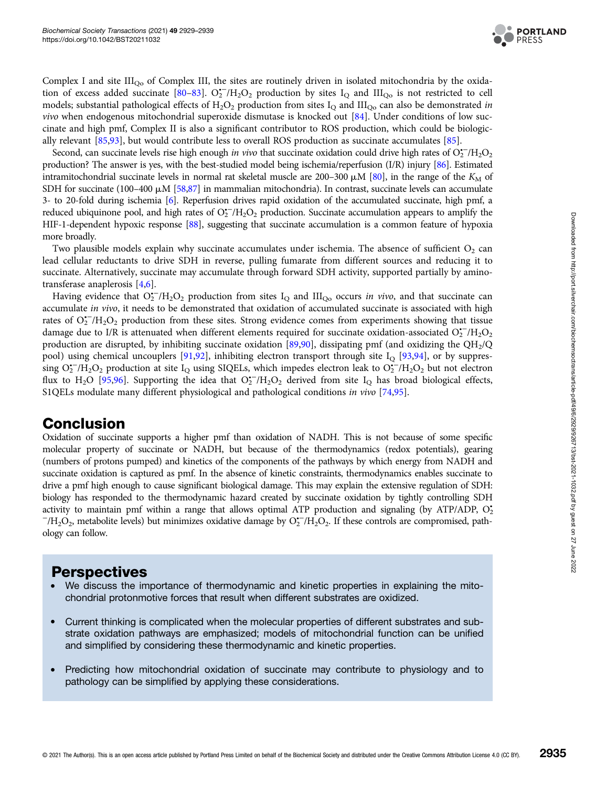

Complex I and site III<sub>Oo</sub> of Complex III, the sites are routinely driven in isolated mitochondria by the oxida-tion of excess added succinate [\[80](#page-9-0)–[83](#page-9-0)].  $O_2^{\bullet-}/H_2O_2$  production by sites  $I_Q$  and  $III_{Qo}$  is not restricted to cell models; substantial pathological effects of  $H_2O_2$  production from sites  $I_Q$  and III<sub>Qo</sub> can also be demonstrated in vivo when endogenous mitochondrial superoxide dismutase is knocked out [\[84\]](#page-9-0). Under conditions of low succinate and high pmf, Complex II is also a significant contributor to ROS production, which could be biologically relevant [\[85,](#page-9-0)[93\]](#page-10-0), but would contribute less to overall ROS production as succinate accumulates [\[85\]](#page-9-0).

Second, can succinate levels rise high enough in vivo that succinate oxidation could drive high rates of  $O_2^{\bullet-}/H_2O_2$ production? The answer is yes, with the best-studied model being ischemia/reperfusion (I/R) injury [\[86\]](#page-10-0). Estimated intramitochondrial succinate levels in normal rat skeletal muscle are 200–300  $\mu$ M [\[80](#page-9-0)], in the range of the  $K_M$  of SDH for succinate (100–400  $\mu$ M [[58](#page-9-0)[,87\]](#page-10-0) in mammalian mitochondria). In contrast, succinate levels can accumulate 3- to 20-fold during ischemia [[6](#page-7-0)]. Reperfusion drives rapid oxidation of the accumulated succinate, high pmf, a reduced ubiquinone pool, and high rates of  $O_2^{\bullet-}/H_2O_2$  production. Succinate accumulation appears to amplify the HIF-1-dependent hypoxic response [\[88](#page-10-0)], suggesting that succinate accumulation is a common feature of hypoxia more broadly.

Two plausible models explain why succinate accumulates under ischemia. The absence of sufficient  $O_2$  can lead cellular reductants to drive SDH in reverse, pulling fumarate from different sources and reducing it to succinate. Alternatively, succinate may accumulate through forward SDH activity, supported partially by aminotransferase anaplerosis [\[4,6\]](#page-7-0).

Having evidence that  $O_2^{\bullet -}/H_2O_2$  production from sites  $I_Q$  and III<sub>Qo</sub> occurs in vivo, and that succinate can accumulate in vivo, it needs to be demonstrated that oxidation of accumulated succinate is associated with high rates of  $O_2^{\bullet-}/H_2O_2$  production from these sites. Strong evidence comes from experiments showing that tissue damage due to I/R is attenuated when different elements required for succinate oxidation-associated  $O_2^-$ /H<sub>2</sub>O<sub>2</sub> production are disrupted, by inhibiting succinate oxidation [[89,90\]](#page-10-0), dissipating pmf (and oxidizing the  $QH<sub>2</sub>/Q$ pool) using chemical uncouplers [[91](#page-10-0),[92](#page-10-0)], inhibiting electron transport through site  $I_{Q}$  [[93](#page-10-0),[94](#page-10-0)], or by suppressing O<sub>2</sub><sup>-</sup>/H<sub>2</sub>O<sub>2</sub> production at site I<sub>Q</sub> using SIQELs, which impedes electron leak to O<sub>2</sub><sup>-</sup>/H<sub>2</sub>O<sub>2</sub> but not electron flux to H<sub>2</sub>O [[95,96](#page-10-0)]. Supporting the idea that  $O_2^-/H_2O_2$  derived from site I<sub>Q</sub> has broad biological effects, S1QELs modulate many different physiological and pathological conditions in vivo [[74](#page-9-0),[95](#page-10-0)].

### Conclusion

Oxidation of succinate supports a higher pmf than oxidation of NADH. This is not because of some specific molecular property of succinate or NADH, but because of the thermodynamics (redox potentials), gearing (numbers of protons pumped) and kinetics of the components of the pathways by which energy from NADH and succinate oxidation is captured as pmf. In the absence of kinetic constraints, thermodynamics enables succinate to drive a pmf high enough to cause significant biological damage. This may explain the extensive regulation of SDH: biology has responded to the thermodynamic hazard created by succinate oxidation by tightly controlling SDH activity to maintain pmf within a range that allows optimal ATP production and signaling (by ATP/ADP,  $O_2$ )  $^{-}/H_2O_2$ , metabolite levels) but minimizes oxidative damage by  $O_2^{\bullet-}/H_2O_2$ . If these controls are compromised, pathology can follow.

#### **Perspectives**

- We discuss the importance of thermodynamic and kinetic properties in explaining the mitochondrial protonmotive forces that result when different substrates are oxidized.
- Current thinking is complicated when the molecular properties of different substrates and substrate oxidation pathways are emphasized; models of mitochondrial function can be unified and simplified by considering these thermodynamic and kinetic properties.
- Predicting how mitochondrial oxidation of succinate may contribute to physiology and to pathology can be simplified by applying these considerations.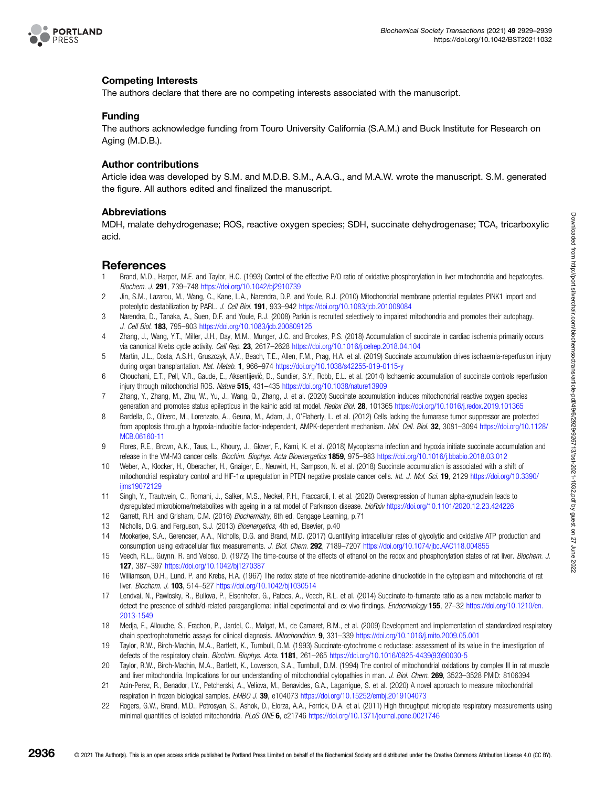<span id="page-7-0"></span>

#### Competing Interests

The authors declare that there are no competing interests associated with the manuscript.

#### Funding

The authors acknowledge funding from Touro University California (S.A.M.) and Buck Institute for Research on Aging (M.D.B.).

#### Author contributions

Article idea was developed by S.M. and M.D.B. S.M., A.A.G., and M.A.W. wrote the manuscript. S.M. generated the figure. All authors edited and finalized the manuscript.

#### Abbreviations

MDH, malate dehydrogenase; ROS, reactive oxygen species; SDH, succinate dehydrogenase; TCA, tricarboxylic acid.

#### References

- 1 Brand, M.D., Harper, M.E. and Taylor, H.C. (1993) Control of the effective P/O ratio of oxidative phosphorylation in liver mitochondria and hepatocytes. Biochem. J. 291, 739–748 <https://doi.org/10.1042/bj2910739>
- 2 Jin, S.M., Lazarou, M., Wang, C., Kane, L.A., Narendra, D.P. and Youle, R.J. (2010) Mitochondrial membrane potential regulates PINK1 import and proteolytic destabilization by PARL. J. Cell Biol. 191, 933-942 <https://doi.org/10.1083/jcb.201008084>
- 3 Narendra, D., Tanaka, A., Suen, D.F. and Youle, R.J. (2008) Parkin is recruited selectively to impaired mitochondria and promotes their autophagy. J. Cell Biol. 183, 795–803 <https://doi.org/10.1083/jcb.200809125>
- 4 Zhang, J., Wang, Y.T., Miller, J.H., Day, M.M., Munger, J.C. and Brookes, P.S. (2018) Accumulation of succinate in cardiac ischemia primarily occurs via canonical Krebs cycle activity. Cell Rep. 23, 2617-2628 <https://doi.org/10.1016/j.celrep.2018.04.104>
- 5 Martin, J.L., Costa, A.S.H., Gruszczyk, A.V., Beach, T.E., Allen, F.M., Prag, H.A. et al. (2019) Succinate accumulation drives ischaemia-reperfusion injury during organ transplantation. Nat. Metab. 1, 966–974 <https://doi.org/10.1038/s42255-019-0115-y>
- 6 Chouchani, E.T., Pell, V.R., Gaude, E., Aksentijević, D., Sundier, S.Y., Robb, E.L. et al. (2014) Ischaemic accumulation of succinate controls reperfusion injury through mitochondrial ROS. Nature 515, 431–435 <https://doi.org/10.1038/nature13909>
- 7 Zhang, Y., Zhang, M., Zhu, W., Yu, J., Wang, Q., Zhang, J. et al. (2020) Succinate accumulation induces mitochondrial reactive oxygen species generation and promotes status epilepticus in the kainic acid rat model. Redox Biol. 28, 101365 <https://doi.org/10.1016/j.redox.2019.101365>
- 8 Bardella, C., Olivero, M., Lorenzato, A., Geuna, M., Adam, J., O'Flaherty, L. et al. (2012) Cells lacking the fumarase tumor suppressor are protected from apoptosis through a hypoxia-inducible factor-independent, AMPK-dependent mechanism. Mol. Cell. Biol. 32, 3081-3094 [https://doi.org/10.1128/](https://doi.org/10.1128/MCB.06160-11) [MCB.06160-11](https://doi.org/10.1128/MCB.06160-11)
- 9 Flores, R.E., Brown, A.K., Taus, L., Khoury, J., Glover, F., Kami, K. et al. (2018) Mycoplasma infection and hypoxia initiate succinate accumulation and release in the VM-M3 cancer cells. Biochim. Biophys. Acta Bioenergetics **1859**, 975–983 <https://doi.org/10.1016/j.bbabio.2018.03.012>
- 10 Weber, A., Klocker, H., Oberacher, H., Gnaiger, E., Neuwirt, H., Sampson, N. et al. (2018) Succinate accumulation is associated with a shift of mitochondrial respiratory control and HIF-1 $\alpha$  upregulation in PTEN negative prostate cancer cells. Int. J. Mol. Sci. 19, 2129 [https://doi.org/10.3390/](https://doi.org/10.3390/ijms19072129) [ijms19072129](https://doi.org/10.3390/ijms19072129)
- 11 Singh, Y., Trautwein, C., Romani, J., Salker, M.S., Neckel, P.H., Fraccaroli, I. et al. (2020) Overexpression of human alpha-synuclein leads to dysregulated microbiome/metabolites with ageing in a rat model of Parkinson disease. bioRxiv <https://doi.org/10.1101/2020.12.23.424226>
- 12 Garrett, R.H. and Grisham, C.M. (2016) Biochemistry, 6th ed, Cengage Learning, p.71
- 13 Nicholls, D.G. and Ferguson, S.J. (2013) Bioenergetics, 4th ed, Elsevier, p.40
- 14 Mookerjee, S.A., Gerencser, A.A., Nicholls, D.G. and Brand, M.D. (2017) Quantifying intracellular rates of glycolytic and oxidative ATP production and consumption using extracellular flux measurements. J. Biol. Chem. 292, 7189-7207 <https://doi.org/10.1074/jbc.AAC118.004855>
- 15 Veech, R.L., Guynn, R. and Veloso, D. (1972) The time-course of the effects of ethanol on the redox and phosphorylation states of rat liver. Biochem. J. 127, 387–397 <https://doi.org/10.1042/bj1270387>
- 16 Williamson, D.H., Lund, P. and Krebs, H.A. (1967) The redox state of free nicotinamide-adenine dinucleotide in the cytoplasm and mitochondria of rat liver. Biochem. J. 103, 514-527 <https://doi.org/10.1042/bj1030514>
- 17 Lendvai, N., Pawlosky, R., Bullova, P., Eisenhofer, G., Patocs, A., Veech, R.L. et al. (2014) Succinate-to-fumarate ratio as a new metabolic marker to detect the presence of sdhb/d-related paraganglioma: initial experimental and ex vivo findings. Endocrinology 155, 27-32 [https://doi.org/10.1210/en.](https://doi.org/10.1210/en.2013-1549) [2013-1549](https://doi.org/10.1210/en.2013-1549)
- 18 Medja, F., Allouche, S., Frachon, P., Jardel, C., Malgat, M., de Camaret, B.M., et al. (2009) Development and implementation of standardized respiratory chain spectrophotometric assays for clinical diagnosis. Mitochondrion. 9, 331–339 <https://doi.org/10.1016/j.mito.2009.05.001>
- 19 Taylor, R.W., Birch-Machin, M.A., Bartlett, K., Turnbull, D.M. (1993) Succinate-cytochrome c reductase: assessment of its value in the investigation of defects of the respiratory chain. Biochim. Biophys. Acta. 1181, 261–265 [https://doi.org/10.1016/0925-4439\(93\)90030-5](https://doi.org/10.1016/0925-4439(93)90030-5)
- 20 Taylor, R.W., Birch-Machin, M.A., Bartlett, K., Lowerson, S.A., Turnbull, D.M. (1994) The control of mitochondrial oxidations by complex III in rat muscle and liver mitochondria. Implications for our understanding of mitochondrial cytopathies in man. J. Biol. Chem. 269, 3523-3528 PMID: 8106394
- Acin-Perez, R., Benador, I.Y., Petcherski, A., Veliova, M., Benavides, G.A., Lagarrigue, S. et al. (2020) A novel approach to measure mitochondrial respiration in frozen biological samples. EMBO J. 39, e104073 <https://doi.org/10.15252/embj.2019104073>
- 22 Rogers, G.W., Brand, M.D., Petrosyan, S., Ashok, D., Elorza, A.A., Ferrick, D.A. et al. (2011) High throughput microplate respiratory measurements using minimal quantities of isolated mitochondria. PLoS ONE 6, e21746 <https://doi.org/10.1371/journal.pone.0021746>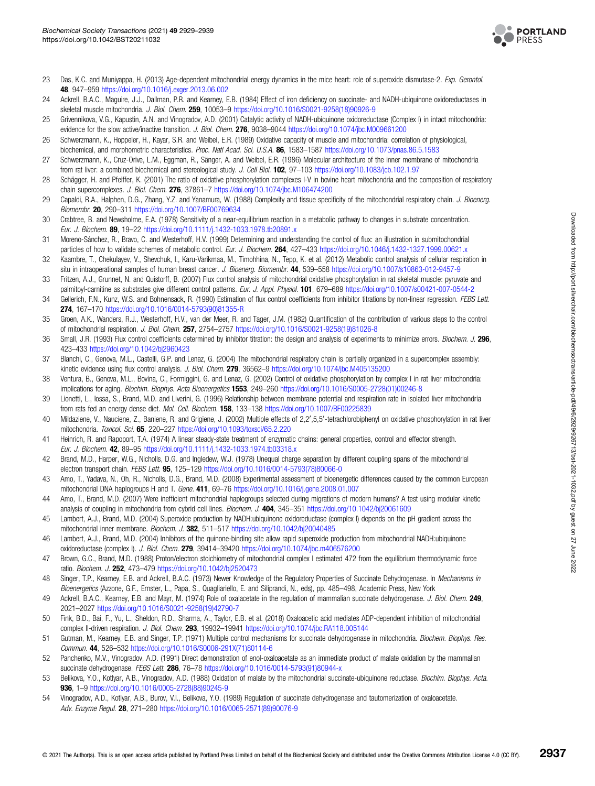

- <span id="page-8-0"></span>23 Das, K.C. and Muniyappa, H. (2013) Age-dependent mitochondrial energy dynamics in the mice heart: role of superoxide dismutase-2. Exp. Gerontol. 48, 947–959 <https://doi.org/10.1016/j.exger.2013.06.002>
- 24 Ackrell, B.A.C., Maguire, J.J., Dallman, P.R. and Kearney, E.B. (1984) Effect of iron deficiency on succinate- and NADH-ubiquinone oxidoreductases in skeletal muscle mitochondria. J. Biol. Chem. 259, 10053-9 [https://doi.org/10.1016/S0021-9258\(18\)90926-9](https://doi.org/10.1016/S0021-9258(18)90926-9)
- 25 Grivennikova, V.G., Kapustin, A.N. and Vinogradov, A.D. (2001) Catalytic activity of NADH-ubiquinone oxidoreductase (Complex I) in intact mitochondria: evidence for the slow active/inactive transition. J. Biol. Chem. 276, 9038-9044 <https://doi.org/10.1074/jbc.M009661200>
- 26 Schwerzmann, K., Hoppeler, H., Kayar, S.R. and Weibel, E.R. (1989) Oxidative capacity of muscle and mitochondria: correlation of physiological, biochemical, and morphometric characteristics. Proc. Natl Acad. Sci. U.S.A. 86, 1583-1587 <https://doi.org/10.1073/pnas.86.5.1583>
- 27 Schwerzmann, K., Cruz-Orive, L.M., Eggman, R., Sänger, A. and Weibel, E.R. (1986) Molecular architecture of the inner membrane of mitochondria from rat liver: a combined biochemical and stereological study. J. Cell Biol. 102, 97-103 <https://doi.org/10.1083/jcb.102.1.97>
- 28 Schägger, H. and Pfeiffer, K. (2001) The ratio of oxidative phosphorylation complexes I-V in bovine heart mitochondria and the composition of respiratory chain supercomplexes. J. Biol. Chem. 276, 37861-7 <https://doi.org/10.1074/jbc.M106474200>
- 29 Capaldi, R.A., Halphen, D.G., Zhang, Y.Z. and Yanamura, W. (1988) Complexity and tissue specificity of the mitochondrial respiratory chain. J. Bioenerg. Biomembr. 20, 290–311 <https://doi.org/10.1007/BF00769634>
- 30 Crabtree, B. and Newsholme, E.A. (1978) Sensitivity of a near-equilibrium reaction in a metabolic pathway to changes in substrate concentration. Eur. J. Biochem. 89, 19–22 <https://doi.org/10.1111/j.1432-1033.1978.tb20891.x>
- 31 Moreno-Sánchez, R., Bravo, C. and Westerhoff, H.V. (1999) Determining and understanding the control of flux: an illustration in submitochondrial particles of how to validate schemes of metabolic control. Eur. J. Biochem. 264, 427-433 <https://doi.org/10.1046/j.1432-1327.1999.00621.x>
- 32 Kaambre, T., Chekulayev, V., Shevchuk, I., Karu-Varikmaa, M., Timohhina, N., Tepp, K. et al. (2012) Metabolic control analysis of cellular respiration in situ in intraoperational samples of human breast cancer. J. Bioenerg. Biomembr. 44, 539-558 <https://doi.org/10.1007/s10863-012-9457-9>
- 33 Fritzen, A.J., Grunnet, N. and Quistorff, B. (2007) Flux control analysis of mitochondrial oxidative phosphorylation in rat skeletal muscle: pyruvate and palmitoyl-carnitine as substrates give different control patterns. Eur. J. Appl. Physiol. 101, 679–689 <https://doi.org/10.1007/s00421-007-0544-2>
- 34 Gellerich, F.N., Kunz, W.S. and Bohnensack, R. (1990) Estimation of flux control coefficients from inhibitor titrations by non-linear regression. FEBS Lett. 274, 167–170 [https://doi.org/10.1016/0014-5793\(90\)81355-R](https://doi.org/10.1016/0014-5793(90)81355-R)
- 35 Groen, A.K., Wanders, R.J., Westerhoff, H.V., van der Meer, R. and Tager, J.M. (1982) Quantification of the contribution of various steps to the control of mitochondrial respiration. J. Biol. Chem. 257, 2754–2757 [https://doi.org/10.1016/S0021-9258\(19\)81026-8](https://doi.org/10.1016/S0021-9258(19)81026-8)
- 36 Small, J.R. (1993) Flux control coefficients determined by inhibitor titration: the design and analysis of experiments to minimize errors. Biochem. J. 296, 423–433 <https://doi.org/10.1042/bj2960423>
- 37 Blanchi, C., Genova, M.L., Castelli, G.P. and Lenaz, G. (2004) The mitochondrial respiratory chain is partially organized in a supercomplex assembly: kinetic evidence using flux control analysis. J. Biol. Chem. 279, 36562-9 <https://doi.org/10.1074/jbc.M405135200>
- 38 Ventura, B., Genova, M.L., Bovina, C., Formiggini, G. and Lenaz, G. (2002) Control of oxidative phosphorylation by complex I in rat liver mitochondria: implications for aging. Biochim. Biophys. Acta Bioenergetics 1553, 249-260 [https://doi.org/10.1016/S0005-2728\(01\)00246-8](https://doi.org/10.1016/S0005-2728(01)00246-8)
- 39 Lionetti, L., Iossa, S., Brand, M.D. and Liverini, G. (1996) Relationship between membrane potential and respiration rate in isolated liver mitochondria from rats fed an energy dense diet. Mol. Cell. Biochem. 158, 133–138 <https://doi.org/10.1007/BF00225839>
- 40 Mildaziene, V., Nauciene, Z., Baniene, R. and Grigiene, J. (2002) Multiple effects of 2,2',5,5'-tetrachlorobiphenyl on oxidative phosphorylation in rat liver mitochondria. Toxicol. Sci. 65, 220–227 <https://doi.org/10.1093/toxsci/65.2.220>
- 41 Heinrich, R. and Rapoport, T.A. (1974) A linear steady-state treatment of enzymatic chains: general properties, control and effector strength. Eur. J. Biochem. 42, 89–95 <https://doi.org/10.1111/j.1432-1033.1974.tb03318.x>
- 42 Brand, M.D., Harper, W.G., Nicholls, D.G. and Ingledew, W.J. (1978) Unequal charge separation by different coupling spans of the mitochondrial electron transport chain. FEBS Lett. 95, 125-129 [https://doi.org/10.1016/0014-5793\(78\)80066-0](https://doi.org/10.1016/0014-5793(78)80066-0)
- 43 Amo, T., Yadava, N., Oh, R., Nicholls, D.G., Brand, M.D. (2008) Experimental assessment of bioenergetic differences caused by the common European mitochondrial DNA haplogroups H and T. Gene. 411, 69-76 <https://doi.org/10.1016/j.gene.2008.01.007>
- 44 Amo, T., Brand, M.D. (2007) Were inefficient mitochondrial haplogroups selected during migrations of modern humans? A test using modular kinetic analysis of coupling in mitochondria from cybrid cell lines. Biochem. J. 404. 345–351 <https://doi.org/10.1042/bj20061609>
- 45 Lambert, A.J., Brand, M.D. (2004) Superoxide production by NADH:ubiquinone oxidoreductase (complex I) depends on the pH gradient across the mitochondrial inner membrane. Biochem. J. 382, 511-517 <https://doi.org/10.1042/bj20040485>
- 46 Lambert, A.J., Brand, M.D. (2004) Inhibitors of the quinone-binding site allow rapid superoxide production from mitochondrial NADH:ubiquinone oxidoreductase (complex I). J. Biol. Chem. 279, 39414-39420 <https://doi.org/10.1074/jbc.m406576200>
- 47 Brown, G.C., Brand, M.D. (1988) Proton/electron stoichiometry of mitochondrial complex I estimated 472 from the equilibrium thermodynamic force ratio. Biochem. J. 252, 473–479 <https://doi.org/10.1042/bj2520473>
- 48 Singer, T.P., Kearney, E.B. and Ackrell, B.A.C. (1973) Newer Knowledge of the Regulatory Properties of Succinate Dehydrogenase. In Mechanisms in Bioenergetics (Azzone, G.F., Ernster, L., Papa, S., Quagliariello, E. and Siliprandi, N., eds), pp. 485–498, Academic Press, New York
- 49 Ackrell, B.A.C., Kearney, E.B. and Mayr, M. (1974) Role of oxalacetate in the regulation of mammalian succinate dehydrogenase. J. Biol. Chem. 249, 2021–2027 [https://doi.org/10.1016/S0021-9258\(19\)42790-7](https://doi.org/10.1016/S0021-9258(19)42790-7)
- 50 Fink, B.D., Bai, F., Yu, L., Sheldon, R.D., Sharma, A., Taylor, E.B. et al. (2018) Oxaloacetic acid mediates ADP-dependent inhibition of mitochondrial complex II-driven respiration. J. Biol. Chem. 293, 19932-19941 <https://doi.org/10.1074/jbc.RA118.005144>
- 51 Gutman, M., Kearney, E.B. and Singer, T.P. (1971) Multiple control mechanisms for succinate dehydrogenase in mitochondria. Biochem. Biophys. Res. Commun. 44, 526–532 [https://doi.org/10.1016/S0006-291X\(71\)80114-6](https://doi.org/10.1016/S0006-291X(71)80114-6)
- 52 Panchenko, M.V., Vinogradov, A.D. (1991) Direct demonstration of enol-oxaloacetate as an immediate product of malate oxidation by the mammalian succinate dehydrogenase. FEBS Lett. 286, 76-78 [https://doi.org/10.1016/0014-5793\(91\)80944-x](https://doi.org/10.1016/0014-5793(91)80944-x)
- 53 Belikova, Y.O., Kotlyar, A.B., Vinogradov, A.D. (1988) Oxidation of malate by the mitochondrial succinate-ubiquinone reductase. Biochim. Biophys. Acta. 936, 1–9 [https://doi.org/10.1016/0005-2728\(88\)90245-9](https://doi.org/10.1016/0005-2728(88)90245-9)
- 54 Vinogradov, A.D., Kotlyar, A.B., Burov, V.I., Belikova, Y.O. (1989) Regulation of succinate dehydrogenase and tautomerization of oxaloacetate. Adv. Enzyme Regul. 28, 271–280 [https://doi.org/10.1016/0065-2571\(89\)90076-9](https://doi.org/10.1016/0065-2571(89)90076-9)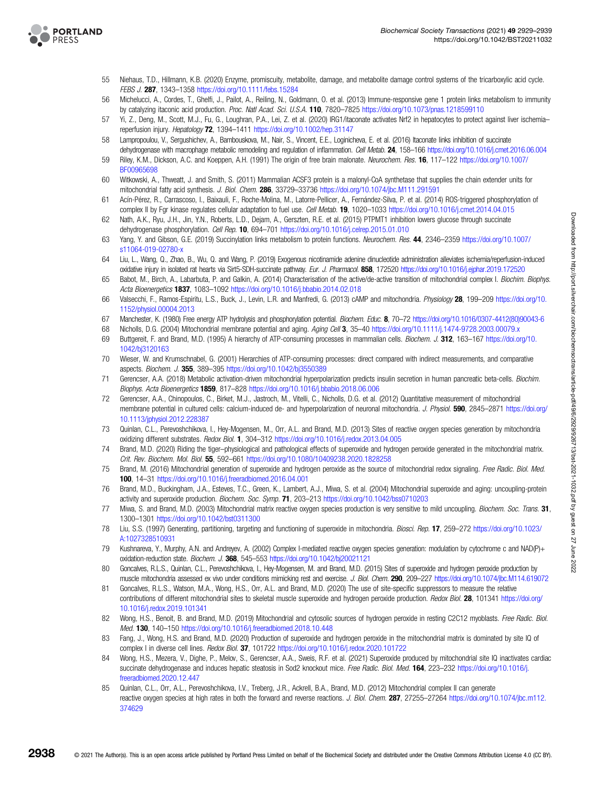<span id="page-9-0"></span>

- 55 Niehaus, T.D., Hillmann, K.B. (2020) Enzyme, promiscuity, metabolite, damage, and metabolite damage control systems of the tricarboxylic acid cycle. FEBS J. 287, 1343–1358 <https://doi.org/10.1111/febs.15284>
- 56 Michelucci, A., Cordes, T., Ghelfi, J., Pailot, A., Reiling, N., Goldmann, O. et al. (2013) Immune-responsive gene 1 protein links metabolism to immunity by catalyzing itaconic acid production. Proc. Natl Acad. Sci. U.S.A. 110, 7820–7825 <https://doi.org/10.1073/pnas.1218599110>
- 57 Yi, Z., Deng, M., Scott, M.J., Fu, G., Loughran, P.A., Lei, Z. et al. (2020) IRG1/itaconate activates Nrf2 in hepatocytes to protect against liver ischemia– reperfusion injury. Hepatology 72, 1394–1411 <https://doi.org/10.1002/hep.31147>
- 58 Lampropoulou, V., Sergushichev, A., Bambouskova, M., Nair, S., Vincent, E.E., Loginicheva, E. et al. (2016) Itaconate links inhibition of succinate dehydrogenase with macrophage metabolic remodeling and regulation of inflammation. Cell Metab. 24, 158-166 <https://doi.org/10.1016/j.cmet.2016.06.004>
- 59 Riley, K.M., Dickson, A.C. and Koeppen, A.H. (1991) The origin of free brain malonate. Neurochem. Res. 16, 117–122 [https://doi.org/10.1007/](https://doi.org/10.1007/BF00965698) [BF00965698](https://doi.org/10.1007/BF00965698)
- 60 Witkowski, A., Thweatt, J. and Smith, S. (2011) Mammalian ACSF3 protein is a malonyl-CoA synthetase that supplies the chain extender units for mitochondrial fatty acid synthesis. J. Biol. Chem. 286, 33729-33736 <https://doi.org/10.1074/jbc.M111.291591>
- 61 Acín-Pérez, R., Carrascoso, I., Baixauli, F., Roche-Molina, M., Latorre-Pellicer, A., Fernández-Silva, P. et al. (2014) ROS-triggered phosphorylation of complex II by Fgr kinase regulates cellular adaptation to fuel use. Cell Metab. 19, 1020–1033 <https://doi.org/10.1016/j.cmet.2014.04.015>
- 62 Nath, A.K., Ryu, J.H., Jin, Y.N., Roberts, L.D., Dejam, A., Gerszten, R.E. et al. (2015) PTPMT1 inhibition lowers glucose through succinate dehydrogenase phosphorylation. Cell Rep. 10, 694–701 <https://doi.org/10.1016/j.celrep.2015.01.010>
- 63 Yang, Y. and Gibson, G.E. (2019) Succinylation links metabolism to protein functions. Neurochem. Res. 44, 2346–2359 [https://doi.org/10.1007/](https://doi.org/10.1007/s11064-019-02780-x) [s11064-019-02780-x](https://doi.org/10.1007/s11064-019-02780-x)
- 64 Liu, L., Wang, Q., Zhao, B., Wu, Q. and Wang, P. (2019) Exogenous nicotinamide adenine dinucleotide administration alleviates ischemia/reperfusion-induced oxidative injury in isolated rat hearts via Sirt5-SDH-succinate pathway. Eur. J. Pharmacol. 858, 172520 <https://doi.org/10.1016/j.ejphar.2019.172520>
- 65 Babot, M., Birch, A., Labarbuta, P. and Galkin, A. (2014) Characterisation of the active/de-active transition of mitochondrial complex I. Biochim. Biophys. Acta Bioenergetics 1837, 1083–1092 <https://doi.org/10.1016/j.bbabio.2014.02.018>
- 66 Valsecchi, F., Ramos-Espiritu, L.S., Buck, J., Levin, L.R. and Manfredi, G. (2013) cAMP and mitochondria. Physiology 28, 199–209 [https://doi.org/10.](https://doi.org/10.1152/physiol.00004.2013) [1152/physiol.00004.2013](https://doi.org/10.1152/physiol.00004.2013)
- 67 Manchester, K. (1980) Free energy ATP hydrolysis and phosphorylation potential. Biochem. Educ. 8, 70–72 [https://doi.org/10.1016/0307-4412\(80\)90043-6](https://doi.org/10.1016/0307-4412(80)90043-6)
- 68 Nicholls, D.G. (2004) Mitochondrial membrane potential and aging. Aging Cell 3, 35–40 <https://doi.org/10.1111/j.1474-9728.2003.00079.x>
- 69 Buttgereit, F. and Brand, M.D. (1995) A hierarchy of ATP-consuming processes in mammalian cells. Biochem. J. 312, 163-167 [https://doi.org/10.](https://doi.org/10.1042/bj3120163) [1042/bj3120163](https://doi.org/10.1042/bj3120163)
- 70 Wieser, W. and Krumschnabel, G. (2001) Hierarchies of ATP-consuming processes: direct compared with indirect measurements, and comparative aspects. Biochem. J. 355, 389–395 <https://doi.org/10.1042/bj3550389>
- 71 Gerencser, A.A. (2018) Metabolic activation-driven mitochondrial hyperpolarization predicts insulin secretion in human pancreatic beta-cells. Biochim. Biophys. Acta Bioenergetics 1859, 817–828 <https://doi.org/10.1016/j.bbabio.2018.06.006>
- 72 Gerencser, A.A., Chinopoulos, C., Birket, M.J., Jastroch, M., Vitelli, C., Nicholls, D.G. et al. (2012) Quantitative measurement of mitochondrial membrane potential in cultured cells: calcium-induced de- and hyperpolarization of neuronal mitochondria. J. Physiol. 590, 2845-2871 [https://doi.org/](https://doi.org/10.1113/jphysiol.2012.228387) [10.1113/jphysiol.2012.228387](https://doi.org/10.1113/jphysiol.2012.228387)
- 73 Quinlan, C.L., Perevoshchikova, I., Hey-Mogensen, M., Orr, A.L. and Brand, M.D. (2013) Sites of reactive oxygen species generation by mitochondria oxidizing different substrates. Redox Biol. 1, 304–312 <https://doi.org/10.1016/j.redox.2013.04.005>
- 74 Brand, M.D. (2020) Riding the tiger–physiological and pathological effects of superoxide and hydrogen peroxide generated in the mitochondrial matrix. Crit. Rev. Biochem. Mol. Biol. 55, 592–661 <https://doi.org/10.1080/10409238.2020.1828258>
- 75 Brand, M. (2016) Mitochondrial generation of superoxide and hydrogen peroxide as the source of mitochondrial redox signaling. Free Radic. Biol. Med. 100, 14–31 <https://doi.org/10.1016/j.freeradbiomed.2016.04.001>
- 76 Brand, M.D., Buckingham, J.A., Esteves, T.C., Green, K., Lambert, A.J., Miwa, S. et al. (2004) Mitochondrial superoxide and aging: uncoupling-protein activity and superoxide production. Biochem. Soc. Symp. 71, 203–213 <https://doi.org/10.1042/bss0710203>
- 77 Miwa, S. and Brand, M.D. (2003) Mitochondrial matrix reactive oxygen species production is very sensitive to mild uncoupling. Biochem. Soc. Trans. 31, 1300–1301 <https://doi.org/10.1042/bst0311300>
- 78 Liu, S.S. (1997) Generating, partitioning, targeting and functioning of superoxide in mitochondria. Biosci. Rep. 17, 259–272 [https://doi.org/10.1023/](https://doi.org/10.1023/A:1027328510931) [A:1027328510931](https://doi.org/10.1023/A:1027328510931)
- 79 Kushnareva, Y., Murphy, A.N. and Andreyev, A. (2002) Complex I-mediated reactive oxygen species generation: modulation by cytochrome c and NAD(P)+ oxidation-reduction state. Biochem. J. 368, 545–553 <https://doi.org/10.1042/bj20021121>
- 80 Goncalves, R.L.S., Quinlan, C.L., Perevoshchikova, I., Hey-Mogensen, M. and Brand, M.D. (2015) Sites of superoxide and hydrogen peroxide production by muscle mitochondria assessed ex vivo under conditions mimicking rest and exercise. J. Biol. Chem. 290, 209–227 <https://doi.org/10.1074/jbc.M114.619072>
- 81 Goncalves, R.L.S., Watson, M.A., Wong, H.S., Orr, A.L. and Brand, M.D. (2020) The use of site-specific suppressors to measure the relative contributions of different mitochondrial sites to skeletal muscle superoxide and hydrogen peroxide production. Redox Biol. 28, 101341 [https://doi.org/](https://doi.org/10.1016/j.redox.2019.101341) [10.1016/j.redox.2019.101341](https://doi.org/10.1016/j.redox.2019.101341)
- 82 Wong, H.S., Benoit, B. and Brand, M.D. (2019) Mitochondrial and cytosolic sources of hydrogen peroxide in resting C2C12 myoblasts. Free Radic. Biol. Med. 130, 140–150 <https://doi.org/10.1016/j.freeradbiomed.2018.10.448>
- 83 Fang, J., Wong, H.S. and Brand, M.D. (2020) Production of superoxide and hydrogen peroxide in the mitochondrial matrix is dominated by site IQ of complex I in diverse cell lines. Redox Biol. 37, 101722 <https://doi.org/10.1016/j.redox.2020.101722>
- 84 Wong, H.S., Mezera, V., Dighe, P., Melov, S., Gerencser, A.A., Sweis, R.F. et al. (2021) Superoxide produced by mitochondrial site IQ inactivates cardiac succinate dehydrogenase and induces hepatic steatosis in Sod2 knockout mice. Free Radic. Biol. Med. 164, 223-232 [https://doi.org/10.1016/j.](https://doi.org/10.1016/j.freeradbiomed.2020.12.447) [freeradbiomed.2020.12.447](https://doi.org/10.1016/j.freeradbiomed.2020.12.447)
- 85 Quinlan, C.L., Orr, A.L., Perevoshchikova, I.V., Treberg, J.R., Ackrell, B.A., Brand, M.D. (2012) Mitochondrial complex II can generate reactive oxygen species at high rates in both the forward and reverse reactions. J. Biol. Chem. 287, 27255-27264 [https://doi.org/10.1074/jbc.m112.](https://doi.org/10.1074/jbc.m112.374629) [374629](https://doi.org/10.1074/jbc.m112.374629)